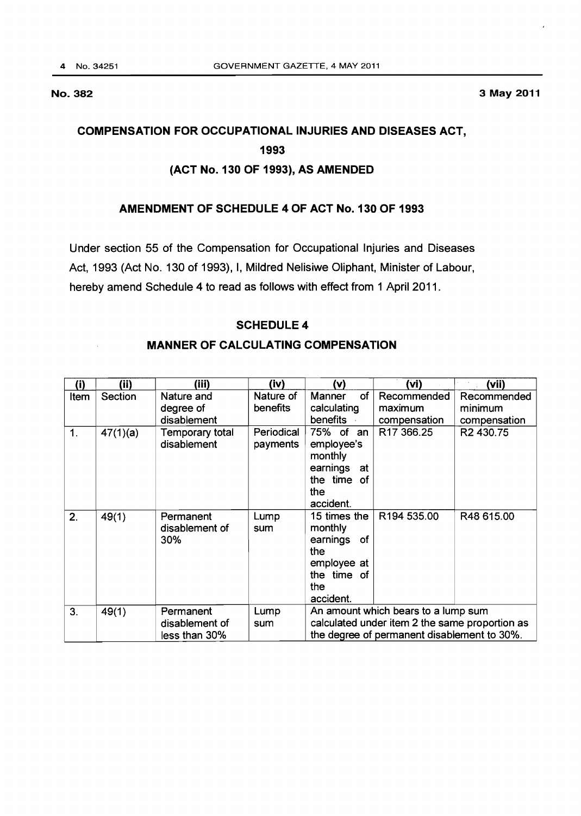#### No. 382 3 May 2011

# COMPENSATION FOR OCCUPATIONAL INJURIES AND DISEASES ACT, 1993

## (ACT No. 130 OF 1993), AS AMENDED

# AMENDMENT OF SCHEDULE 4 OF ACT No. 130 OF 1993

Under section 55 of the Compensation for Occupational Injuries and Diseases Act, 1993 (Act No. 130 of 1993), I, Mildred Nelisiwe Oliphant, Minister of Labour, hereby amend Schedule 4 to read as follows with effect from 1 April 2011.

### SCHEDULE 4

### MANNER OF CALCULATING COMPENSATION

| (i)            | (ii)     | (iii)                              | (iv)                   | (v)                                                                                                                                  | (vi)                   | (vii)                  |
|----------------|----------|------------------------------------|------------------------|--------------------------------------------------------------------------------------------------------------------------------------|------------------------|------------------------|
| Item           | Section  | Nature and<br>degree of            | Nature of<br>benefits  | of<br>Manner<br>calculating                                                                                                          | Recommended<br>maximum | Recommended<br>minimum |
|                |          | disablement                        |                        | benefits                                                                                                                             | compensation           | compensation           |
| 1 <sub>1</sub> | 47(1)(a) | Temporary total<br>disablement     | Periodical<br>payments | 75% of<br>an<br>employee's<br>monthly<br>earnings<br>at<br>the time of<br>the<br>accident.                                           | R <sub>17</sub> 366.25 | R2 430.75              |
| 2.             | 49(1)    | Permanent<br>disablement of<br>30% | Lump<br>sum            | 15 times the<br>monthly<br>earnings of<br>the<br>employee at<br>the time of<br>the<br>accident.                                      | R194 535.00            | R48 615.00             |
| 3.             | 49(1)    | Permanent                          | Lump                   | An amount which bears to a lump sum<br>calculated under item 2 the same proportion as<br>the degree of permanent disablement to 30%. |                        |                        |
|                |          | disablement of                     | sum                    |                                                                                                                                      |                        |                        |
|                |          | less than 30%                      |                        |                                                                                                                                      |                        |                        |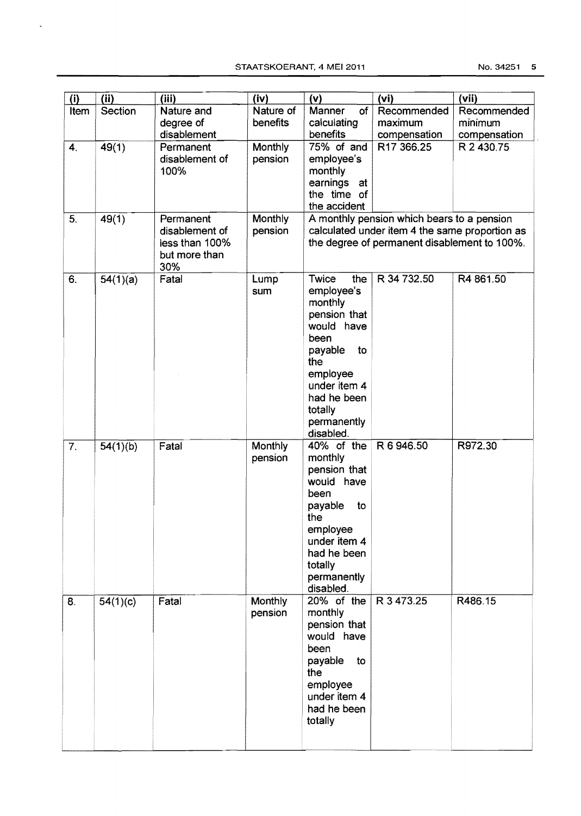$\ddot{\phantom{0}}$ 

| (i)                | (ii)     | (iii)          | (iv)      | (v)                                        | (v <sub>i</sub> )                              | (vii)        |
|--------------------|----------|----------------|-----------|--------------------------------------------|------------------------------------------------|--------------|
| Item               | Section  | Nature and     | Nature of | of<br>Manner                               | Recommended                                    | Recommended  |
|                    |          | degree of      | benefits  | calculating                                | maximum                                        | minimum      |
|                    |          | disablement    |           | benefits                                   | compensation                                   | compensation |
| $\boldsymbol{4}$ . | 49(1)    | Permanent      | Monthly   | 75% of and                                 | R <sub>17</sub> 366.25                         | R 2 430.75   |
|                    |          | disablement of | pension   | employee's                                 |                                                |              |
|                    |          | 100%           |           | monthly                                    |                                                |              |
|                    |          |                |           | earnings at                                |                                                |              |
|                    |          |                |           | the time of                                |                                                |              |
|                    |          |                |           | the accident                               |                                                |              |
| 5.                 | 49(1)    | Permanent      | Monthly   | A monthly pension which bears to a pension |                                                |              |
|                    |          | disablement of | pension   |                                            | calculated under item 4 the same proportion as |              |
|                    |          | less than 100% |           |                                            | the degree of permanent disablement to 100%.   |              |
|                    |          | but more than  |           |                                            |                                                |              |
|                    |          | 30%            |           |                                            |                                                |              |
| 6.                 | 54(1)(a) | Fatal          | Lump      | the<br>Twice                               | R 34 732.50                                    | R4 861.50    |
|                    |          |                | sum       | employee's<br>monthly                      |                                                |              |
|                    |          |                |           | pension that                               |                                                |              |
|                    |          |                |           | would have                                 |                                                |              |
|                    |          |                |           | been                                       |                                                |              |
|                    |          |                |           | to<br>payable                              |                                                |              |
|                    |          |                |           | the                                        |                                                |              |
|                    |          |                |           | employee                                   |                                                |              |
|                    |          |                |           | under item 4                               |                                                |              |
|                    |          |                |           | had he been                                |                                                |              |
|                    |          |                |           | totally                                    |                                                |              |
|                    |          |                |           | permanently                                |                                                |              |
|                    |          |                |           | disabled.                                  |                                                |              |
| 7.                 | 54(1)(b) | Fatal          | Monthly   | 40% of the                                 | R 6 946.50                                     | R972.30      |
|                    |          |                | pension   | monthly                                    |                                                |              |
|                    |          |                |           | pension that<br>would have                 |                                                |              |
|                    |          |                |           | been                                       |                                                |              |
|                    |          |                |           | payable<br>to                              |                                                |              |
|                    |          |                |           | the                                        |                                                |              |
|                    |          |                |           | employee                                   |                                                |              |
|                    |          |                |           | under item 4                               |                                                |              |
|                    |          |                |           | had he been                                |                                                |              |
|                    |          |                |           | totally                                    |                                                |              |
|                    |          |                |           | permanently                                |                                                |              |
|                    |          |                |           | disabled.                                  |                                                |              |
| 8.                 | 54(1)(c) | Fatal          | Monthly   | 20% of the                                 | R 3473.25                                      | R486.15      |
|                    |          |                | pension   | monthly                                    |                                                |              |
|                    |          |                |           | pension that<br>would have                 |                                                |              |
|                    |          |                |           | been                                       |                                                |              |
|                    |          |                |           | payable<br>to                              |                                                |              |
|                    |          |                |           | the                                        |                                                |              |
|                    |          |                |           | employee                                   |                                                |              |
|                    |          |                |           | under item 4                               |                                                |              |
|                    |          |                |           | had he been                                |                                                |              |
|                    |          |                |           | totally                                    |                                                |              |
|                    |          |                |           |                                            |                                                |              |
|                    |          |                |           |                                            |                                                |              |